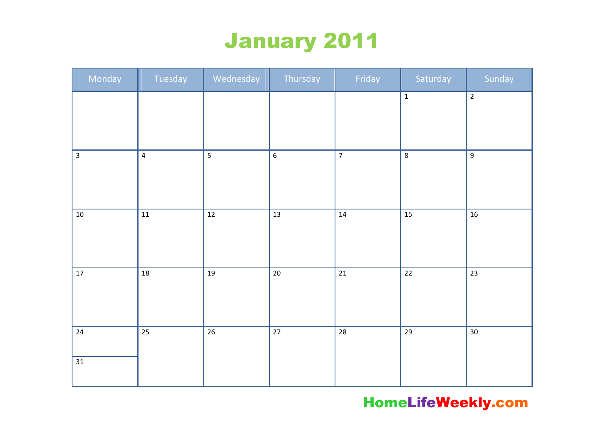# January 2011

| Monday          | Tuesday         | Wednesday       | Thursday        | Friday          | Saturday        | Sunday          |
|-----------------|-----------------|-----------------|-----------------|-----------------|-----------------|-----------------|
|                 |                 |                 |                 |                 | $\mathbf 1$     | $\overline{2}$  |
|                 |                 |                 |                 |                 |                 |                 |
|                 |                 |                 |                 |                 |                 |                 |
| $\overline{3}$  | $\overline{4}$  | $\overline{5}$  | $\overline{6}$  | $\overline{7}$  | $\overline{8}$  | $\overline{9}$  |
|                 |                 |                 |                 |                 |                 |                 |
|                 |                 |                 |                 |                 |                 |                 |
| $10\,$          | $11\,$          | $\overline{12}$ | $\overline{13}$ | $\overline{14}$ | $\overline{15}$ | $\overline{16}$ |
|                 |                 |                 |                 |                 |                 |                 |
|                 |                 |                 |                 |                 |                 |                 |
| $17\,$          | 18              | $19\,$          | $20\,$          | 21              | $22\,$          | 23              |
|                 |                 |                 |                 |                 |                 |                 |
|                 |                 |                 |                 |                 |                 |                 |
| $\overline{24}$ | $\overline{25}$ | $\overline{26}$ | $\overline{27}$ | $\overline{28}$ | $\overline{29}$ | $\overline{30}$ |
| $\overline{31}$ |                 |                 |                 |                 |                 |                 |
|                 |                 |                 |                 |                 |                 |                 |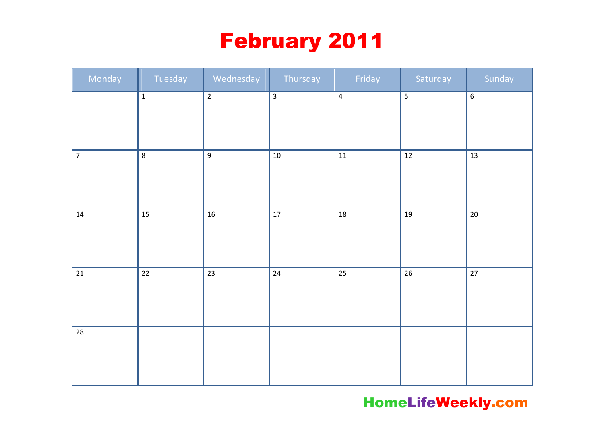# February 2011

| Monday          | Tuesday         | Wednesday        | Thursday       | Friday          | Saturday        | Sunday          |
|-----------------|-----------------|------------------|----------------|-----------------|-----------------|-----------------|
|                 | $\overline{1}$  | $\overline{2}$   | $\overline{3}$ | $\overline{4}$  |                 | $\overline{6}$  |
| $\overline{7}$  | $\bf 8$         | $\boldsymbol{9}$ | $10\,$         | $11\,$          | $\overline{12}$ | $\overline{13}$ |
| $14\,$          | $15\,$          | $16\,$           | $17\,$         | 18              | 19              | $20\,$          |
| 21              | $\overline{22}$ | $\overline{23}$  | 24             | $\overline{25}$ | $\overline{26}$ | $\overline{27}$ |
| $\overline{28}$ |                 |                  |                |                 |                 |                 |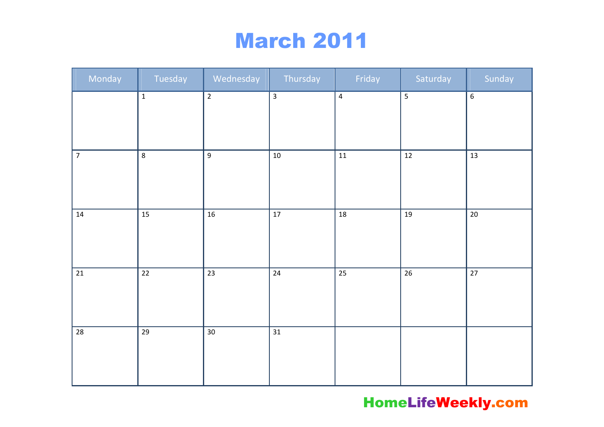## March 2011

| Monday         | Tuesday         | Wednesday       | Thursday        | Friday           | Saturday                             | Sunday          |
|----------------|-----------------|-----------------|-----------------|------------------|--------------------------------------|-----------------|
|                | $1\,$           | $\overline{2}$  | $\overline{3}$  | $\overline{4}$   | $\overline{\overline{\overline{5}}}$ | $\overline{6}$  |
| $\overline{7}$ | $\overline{8}$  | $\overline{9}$  | $10\,$          | $\overline{11}$  | $\overline{12}$                      | $\overline{13}$ |
| 14             | 15              | $\overline{16}$ | $17\,$          | $\overline{18}$  | 19                                   | $\overline{20}$ |
| $21\,$         | 22              | 23              | $24\,$          | $25\phantom{.0}$ | $26\phantom{.}$                      | $\overline{27}$ |
| 28             | $\overline{29}$ | $\overline{30}$ | $\overline{31}$ |                  |                                      |                 |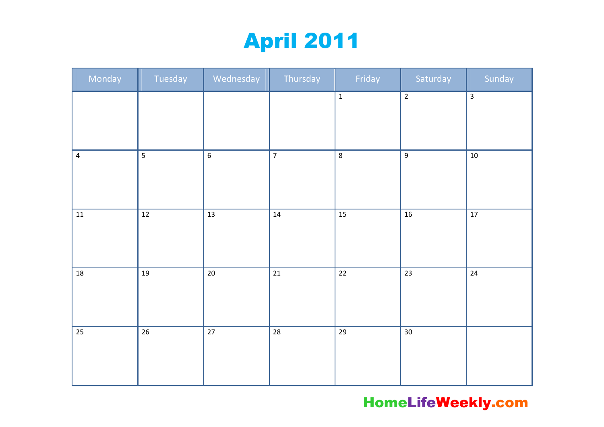# April 2011

| Monday          | Tuesday         | Wednesday       | Thursday        | Friday          | Saturday        | Sunday          |
|-----------------|-----------------|-----------------|-----------------|-----------------|-----------------|-----------------|
|                 |                 |                 |                 | $\overline{1}$  | $\overline{2}$  | $\overline{3}$  |
|                 |                 |                 |                 |                 |                 |                 |
|                 |                 |                 |                 |                 |                 |                 |
| $\overline{4}$  | $\overline{5}$  | $\overline{6}$  | $\overline{7}$  | $\overline{8}$  | $\overline{9}$  | $10$            |
|                 |                 |                 |                 |                 |                 |                 |
|                 |                 |                 |                 |                 |                 |                 |
| $11\,$          | $12\,$          | $\overline{13}$ | $14\,$          | $\overline{15}$ | 16              | $\overline{17}$ |
|                 |                 |                 |                 |                 |                 |                 |
|                 |                 |                 |                 |                 |                 |                 |
| $18\,$          | $\overline{19}$ | $20\,$          | 21              | $\overline{22}$ | $23\,$          | $24\,$          |
|                 |                 |                 |                 |                 |                 |                 |
|                 |                 |                 |                 |                 |                 |                 |
| $\overline{25}$ | $\overline{26}$ | $\overline{27}$ | $\overline{28}$ | $\overline{29}$ | $\overline{30}$ |                 |
|                 |                 |                 |                 |                 |                 |                 |
|                 |                 |                 |                 |                 |                 |                 |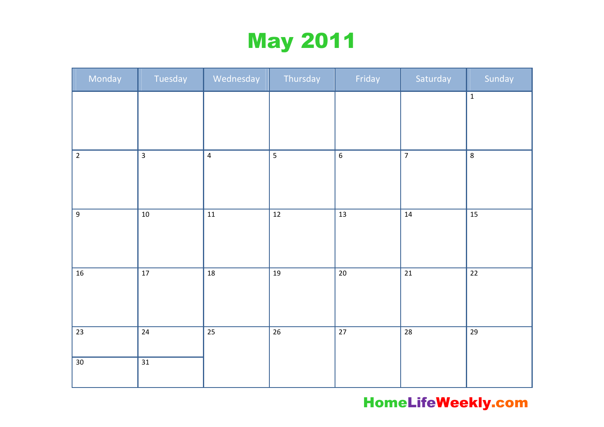# May 2011

| Monday         | Tuesday         | Wednesday       | Thursday                | Friday           | Saturday        | Sunday          |
|----------------|-----------------|-----------------|-------------------------|------------------|-----------------|-----------------|
|                |                 |                 |                         |                  |                 | $\overline{1}$  |
|                |                 |                 |                         |                  |                 |                 |
|                |                 |                 |                         |                  |                 |                 |
| $\overline{2}$ | $\overline{3}$  | $\overline{4}$  | $\overline{\mathbf{5}}$ | $\boldsymbol{6}$ | $\overline{7}$  | $\bf 8$         |
|                |                 |                 |                         |                  |                 |                 |
|                |                 |                 |                         |                  |                 |                 |
| $9\,$          | $10$            | $11\,$          | 12                      | $\overline{13}$  | $\overline{14}$ | $\overline{15}$ |
|                |                 |                 |                         |                  |                 |                 |
|                |                 |                 |                         |                  |                 |                 |
| $16\,$         | $\overline{17}$ | $\overline{18}$ | 19                      | $\overline{20}$  | $\overline{21}$ | $\overline{22}$ |
|                |                 |                 |                         |                  |                 |                 |
|                |                 |                 |                         |                  |                 |                 |
| $23\,$         | $24\,$          | $\overline{25}$ | $26\,$                  | $\overline{27}$  | $\overline{28}$ | 29              |
|                |                 |                 |                         |                  |                 |                 |
| $30\,$         | $\overline{31}$ |                 |                         |                  |                 |                 |
|                |                 |                 |                         |                  |                 |                 |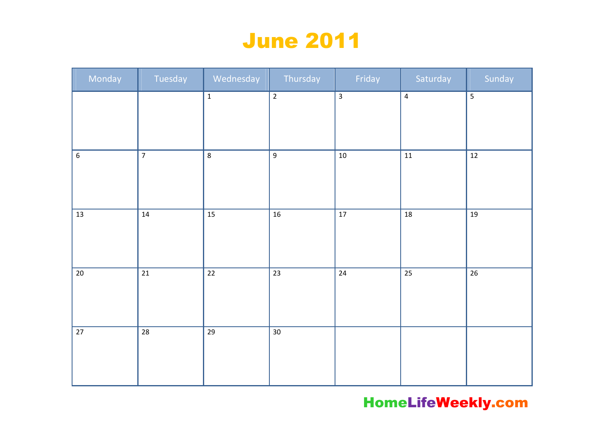## June 2011

| Monday     | Tuesday         | Wednesday   | Thursday        | Friday         | Saturday       | Sunday          |
|------------|-----------------|-------------|-----------------|----------------|----------------|-----------------|
|            |                 | $\mathbf 1$ | $\overline{2}$  | $\overline{3}$ | $\overline{4}$ | $\overline{5}$  |
| $\sqrt{6}$ | $\overline{7}$  | $\,8\,$     | $\overline{9}$  | $10\,$         | $11\,$         | 12              |
| 13         | $14\,$          | $15\,$      | $16\,$          | $17\,$         | 18             | $19\,$          |
| $20\,$     | $\overline{21}$ | $22$        | 23              | $24\,$         | 25             | $\overline{26}$ |
| $27$       | 28              | 29          | 30 <sub>o</sub> |                |                |                 |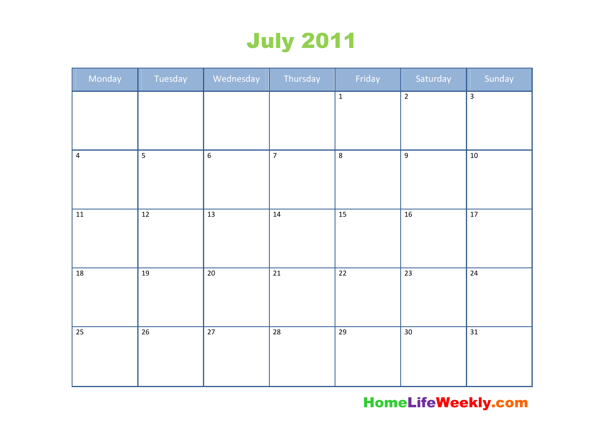# July 2011

| Monday          | Tuesday         | Wednesday       | Thursday        | Friday          | Saturday        | Sunday          |
|-----------------|-----------------|-----------------|-----------------|-----------------|-----------------|-----------------|
|                 |                 |                 |                 | $\overline{1}$  | $\overline{2}$  | $\overline{3}$  |
|                 |                 |                 |                 |                 |                 |                 |
|                 | $\overline{5}$  | $\overline{6}$  | $\overline{7}$  | $\overline{8}$  |                 |                 |
| $\overline{4}$  |                 |                 |                 |                 | $9\,$           | $10\,$          |
|                 |                 |                 |                 |                 |                 |                 |
|                 |                 |                 |                 |                 |                 |                 |
| $11\,$          | $\overline{12}$ | $\overline{13}$ | $14\,$          | $\overline{15}$ | $\overline{16}$ | $\overline{17}$ |
|                 |                 |                 |                 |                 |                 |                 |
|                 |                 |                 |                 |                 |                 |                 |
| $18\,$          | 19              | $20\,$          | $21\,$          | $22\,$          | 23              | $24\,$          |
|                 |                 |                 |                 |                 |                 |                 |
|                 |                 |                 |                 |                 |                 |                 |
|                 |                 |                 |                 |                 |                 |                 |
| $\overline{25}$ | $\overline{26}$ | $\overline{27}$ | $\overline{28}$ | $\overline{29}$ | $\overline{30}$ | $\overline{31}$ |
|                 |                 |                 |                 |                 |                 |                 |
|                 |                 |                 |                 |                 |                 |                 |
|                 |                 |                 |                 |                 |                 |                 |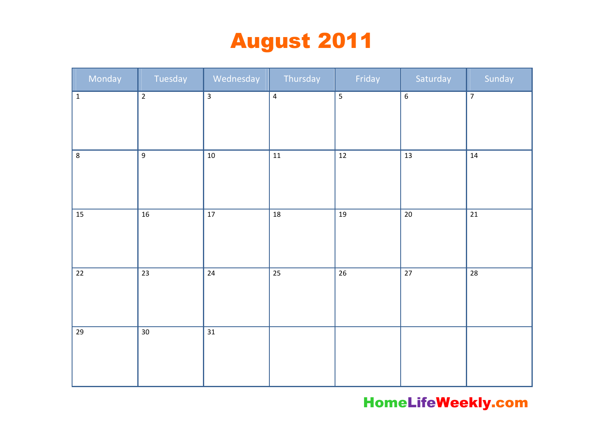# August 2011

| Monday          | Tuesday         | Wednesday       | Thursday        | Friday          | Saturday        | Sunday          |
|-----------------|-----------------|-----------------|-----------------|-----------------|-----------------|-----------------|
| $\mathbf 1$     | $\overline{2}$  | $\overline{3}$  | $\overline{4}$  | $\overline{5}$  | $\overline{6}$  | $\overline{7}$  |
| $\,8\,$         | 9               | $10\,$          | $11\,$          | $12\,$          | $\overline{13}$ | $14\,$          |
| $15\,$          | $\overline{16}$ | $17\,$          | $\overline{18}$ | $19\,$          | $\overline{20}$ | $21\,$          |
| 22              | 23              | $24\,$          | $25\,$          | $\overline{26}$ | $\overline{27}$ | $\overline{28}$ |
| $\overline{29}$ | $\overline{30}$ | $\overline{31}$ |                 |                 |                 |                 |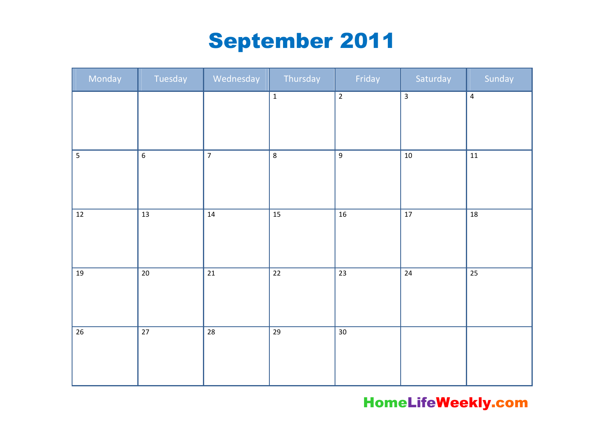# September 2011

| Monday          | Tuesday         | Wednesday       | Thursday        | Friday          | Saturday        | Sunday          |
|-----------------|-----------------|-----------------|-----------------|-----------------|-----------------|-----------------|
|                 |                 |                 | $\mathbf 1$     | $\overline{2}$  | $\overline{3}$  | $\overline{4}$  |
|                 |                 |                 |                 |                 |                 |                 |
| $\overline{5}$  | $\sqrt{6}$      | $\overline{7}$  | $\overline{8}$  | $\overline{9}$  | $10\,$          | $11\,$          |
| $12\,$          | 13              | $14\,$          | $\overline{15}$ | $\overline{16}$ | $\overline{17}$ | $\overline{18}$ |
| 19              | $\overline{20}$ | $21\,$          | $\overline{22}$ | $\overline{23}$ | $24\,$          | $\overline{25}$ |
| $\overline{26}$ | $\overline{27}$ | $\overline{28}$ | $\overline{29}$ | $\overline{30}$ |                 |                 |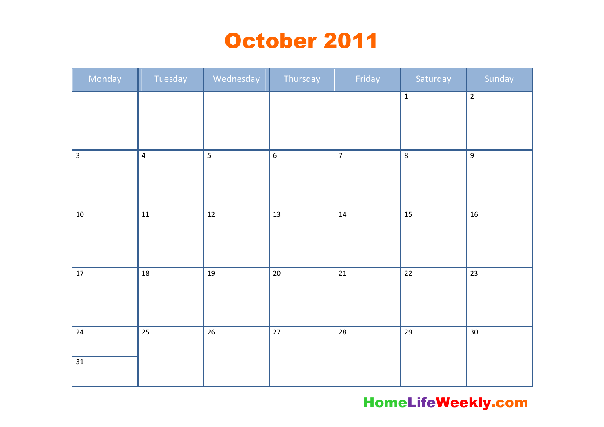## October 2011

| Monday          | Tuesday         | Wednesday       | Thursday        | Friday          | Saturday        | Sunday          |
|-----------------|-----------------|-----------------|-----------------|-----------------|-----------------|-----------------|
|                 |                 |                 |                 |                 | $\mathbf 1$     | $\overline{2}$  |
|                 |                 |                 |                 |                 |                 |                 |
|                 |                 |                 |                 |                 |                 |                 |
| $\overline{3}$  | $\overline{4}$  | $\overline{5}$  | $\overline{6}$  | $\overline{7}$  | $\,8\,$         | $9\,$           |
|                 |                 |                 |                 |                 |                 |                 |
|                 |                 |                 |                 |                 |                 |                 |
| $10\,$          | $11\,$          | $\overline{12}$ | $\overline{13}$ | $14\,$          | $\overline{15}$ | $\overline{16}$ |
|                 |                 |                 |                 |                 |                 |                 |
|                 |                 |                 |                 |                 |                 |                 |
| $17\,$          | $18\,$          | 19              | $20\,$          | $21\,$          | $22\,$          | $\overline{23}$ |
|                 |                 |                 |                 |                 |                 |                 |
|                 |                 |                 |                 |                 |                 |                 |
| $\overline{24}$ | $\overline{25}$ | $\overline{26}$ | $\overline{27}$ | $\overline{28}$ | $\overline{29}$ | $\overline{30}$ |
| $\overline{31}$ |                 |                 |                 |                 |                 |                 |
|                 |                 |                 |                 |                 |                 |                 |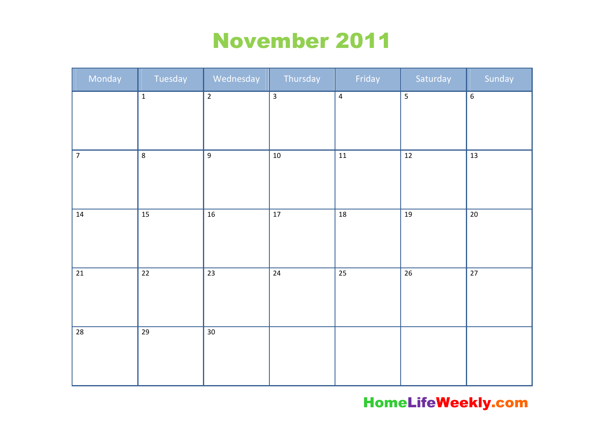## November 2011

| Monday          | Tuesday         | Wednesday       | Thursday        | Friday                  | Saturday        | Sunday          |
|-----------------|-----------------|-----------------|-----------------|-------------------------|-----------------|-----------------|
|                 | $\mathbf 1$     | $\overline{2}$  | $\overline{3}$  | $\overline{\mathbf{4}}$ |                 | $\overline{6}$  |
| $\overline{7}$  | $\overline{8}$  | $\overline{9}$  | $10\,$          | $11\,$                  | $\overline{12}$ | $\overline{13}$ |
| $14\,$          | $\overline{15}$ | $16\,$          | $\overline{17}$ | $18\,$                  | 19              | $\overline{20}$ |
| $\overline{21}$ | $\overline{22}$ | $\overline{23}$ | $24\,$          | $\overline{25}$         | $\overline{26}$ | $\overline{27}$ |
| $\overline{28}$ | $\overline{29}$ | $\overline{30}$ |                 |                         |                 |                 |